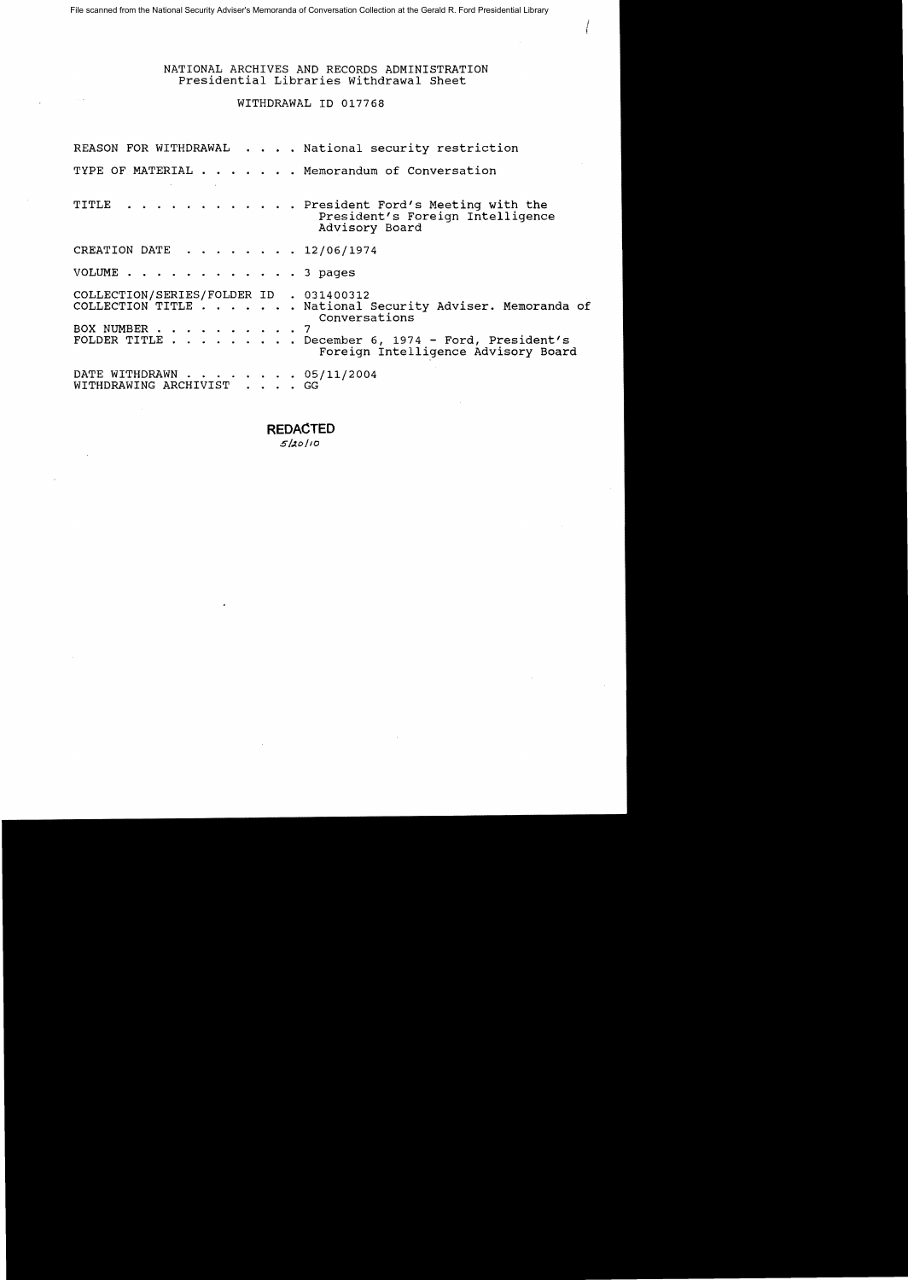#### NATIONAL ARCHIVES AND RECORDS ADMINISTRATION Presidential Libraries withdrawal Sheet

### WITHDRAWAL ID 017768

|                                                         | REASON FOR WITHDRAWAL National security restriction                                                                                                                   |
|---------------------------------------------------------|-----------------------------------------------------------------------------------------------------------------------------------------------------------------------|
|                                                         | TYPE OF MATERIAL Memorandum of Conversation                                                                                                                           |
|                                                         | TITLE President Ford's Meeting with the<br>President's Foreign Intelligence<br>Advisory Board                                                                         |
| CREATION DATE 12/06/1974                                |                                                                                                                                                                       |
| VOLUME 3 pages                                          |                                                                                                                                                                       |
| COLLECTION/SERIES/FOLDER ID . 031400312<br>BOX NUMBER 7 | COLLECTION TITLE National Security Adviser. Memoranda of<br>Conversations<br>FOLDER TITLE December 6, 1974 - Ford, President's<br>Foreign Intelligence Advisory Board |
| DATE WITHDRAWN 05/11/2004<br>WITHDRAWING ARCHIVIST GG   |                                                                                                                                                                       |

**REDACTED**  $5/20/10$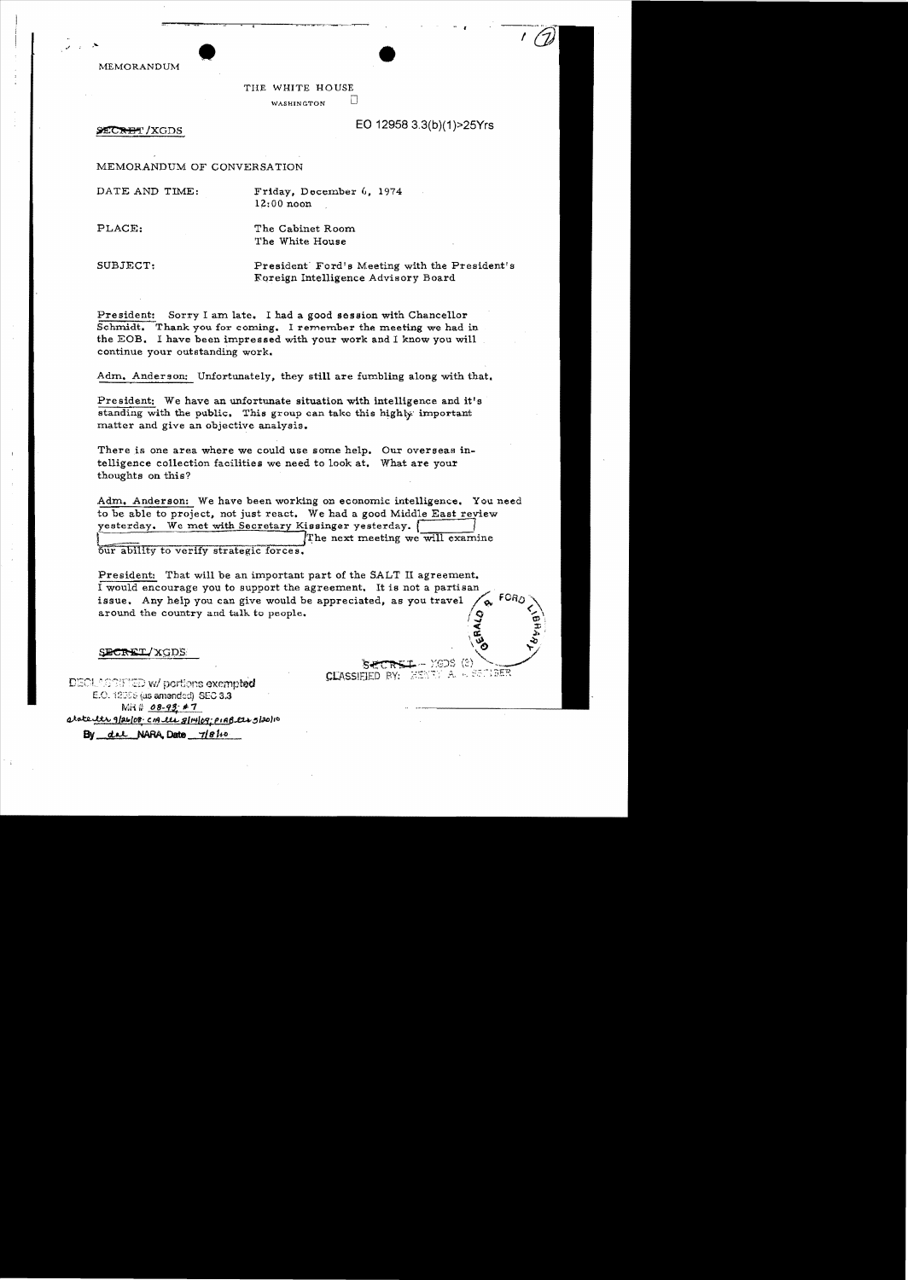MEMORANDUM

THE WHITE HOUSE WASHINGTON  $\Box$ 

~/XGDS EO 12958 3.3(b)(1»25Yrs

MEMORANDUM OF CONVERSATION

DATE AND TIME: Friday, December 6, 1974  $12:00$  noon

PLACE: The Cabinet Room

The White House

SUBJECT: President' Ford's Meeting with the President's :Foreign Intelligence Advisory Board

President: Sorry I am late. I had a good session with Chancellor Schmidt. Thank you for coming. I remember the meeting we had in the EOB. I have been impressed with your work and I know you will continue your outstanding work.

Adm. Anderson: Unfortunately, they still are fumbling along with that.

President: We have an unfortunate situation with intelligence and it's standing with the public. This group can take this highly important matter and give an objective analysis.

There is one area where we could use some help. Our overseas intelligence collection facilities we need to look at. What are your thoughts on this?

Adm, Anderson: We have been working on economic intelligence. You need to be able to project, not just react. We had a good Middle East review yesterday. We met with Secretary Kissinger yesterday. [ The next meeting we will examine

our ability to verify strategic forces.

President: That will be an important part of the SALT II agreement. I would encourage you to support the agreement. It is not a partisan issue. Any help you can give would be appreciated, as you travel  $\left\langle \phi \right\rangle$   $\left\{$   $\left\{$   $\mathsf{FORO} \right\}$ issue. Any help you can give would be appreciated, as you travel around the country and talk to people.

SECRET/XGDS

 $S$  +  $C$   $R$   $\leftarrow$   $\leftarrow$   $Y$ (E)S  $(2)$ DECLASSIFIED W/ portions exempted **CLASSIFIED** BY: WENTY A. A SENDER

 $R$  $\sqrt[3]{\frac{1}{2}}$ 

E.O. 12066 (as amended)  $\,$  SEC 3.3  $\,$ MHt: ()8-9S,; ,;.7 atate the 9/26/08: CM the 8/14/09; PIAB the 5/20/10  $By$  del NARA, Date  $7/81$ 

 $\frac{1}{1}$  -  $\frac{1}{1}$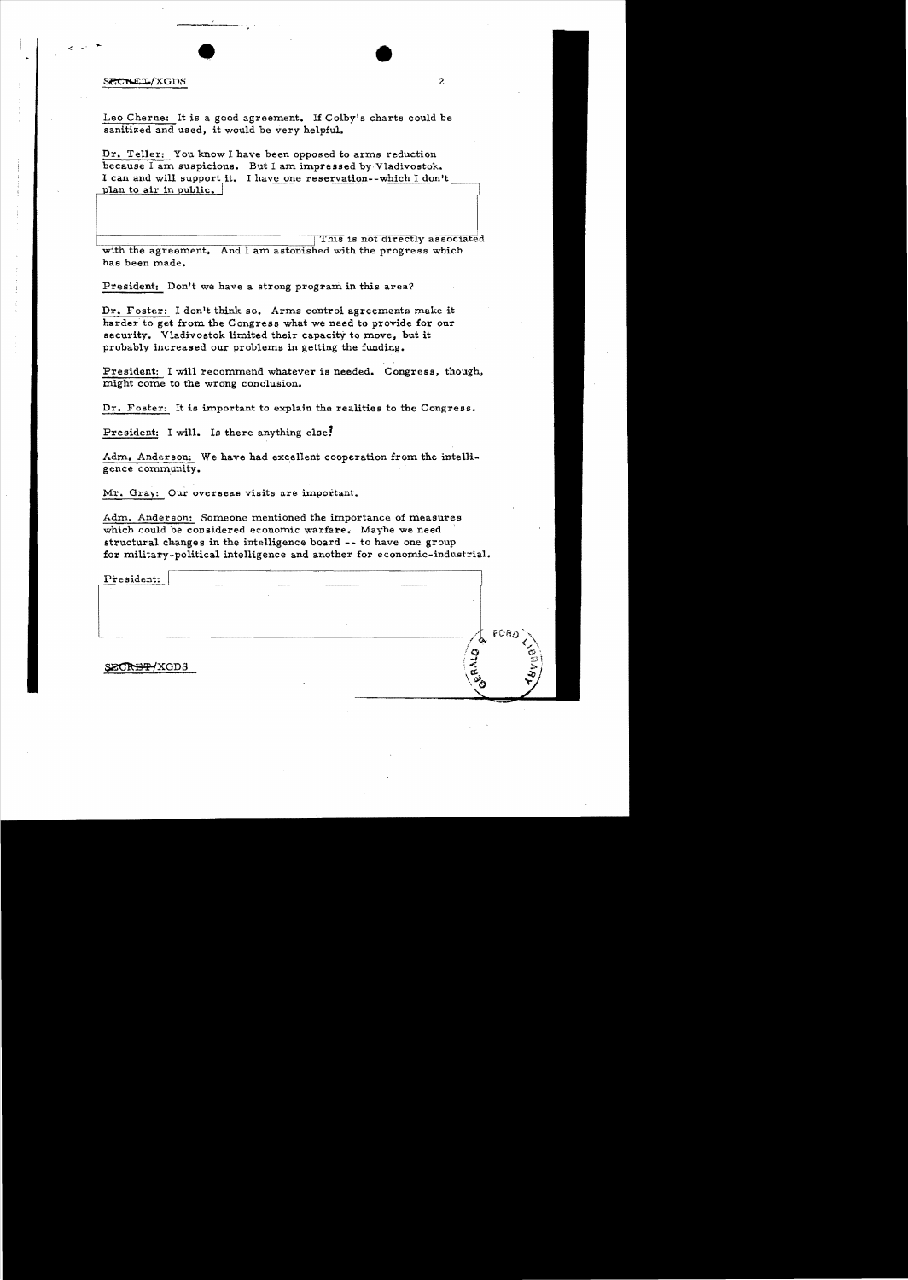#### SECRET/XGDS

Leo Cherne: It is a good agreement. If Colby's charts could be sanitized and used, it would be very helpful.

I can and will support it. I have one reservation--which I don't Dr. Teller: You know I have been opposed to arms reduction because I am suspicious. But I am impressed by Vladivostok. plan to air in public.

This is not directly associated with the agreement. And I am astonished with the progress which has been made.

President: Don't we have a strong program in this area?

Dr. Foster: I don't think so. Arms control agreements make it harder'to get from the Congress what we need to provide for our security. Vladivostok limited their capacity to move, but it probably increased our problems in getting the funding.

President: I will recommend whatever is needed. Congress, though, might come to the wrong conclusion.

Dr. Foster: It is important to explain the realities to the Congress.

President: I will. Is there anything else!

Adm. Anderson: We have had excellent cooperation from the intelligence community.

Mr. Gray: Our overseas visits are important.

Adm. Anderson: Someone mentioned the importance of measures which could be considered economic warfare. Maybe we need structural changes in the intelligence board .- to have one group for military-political intelligence and another for economic-industrial.

President:

SECREP/XGDS

FCAA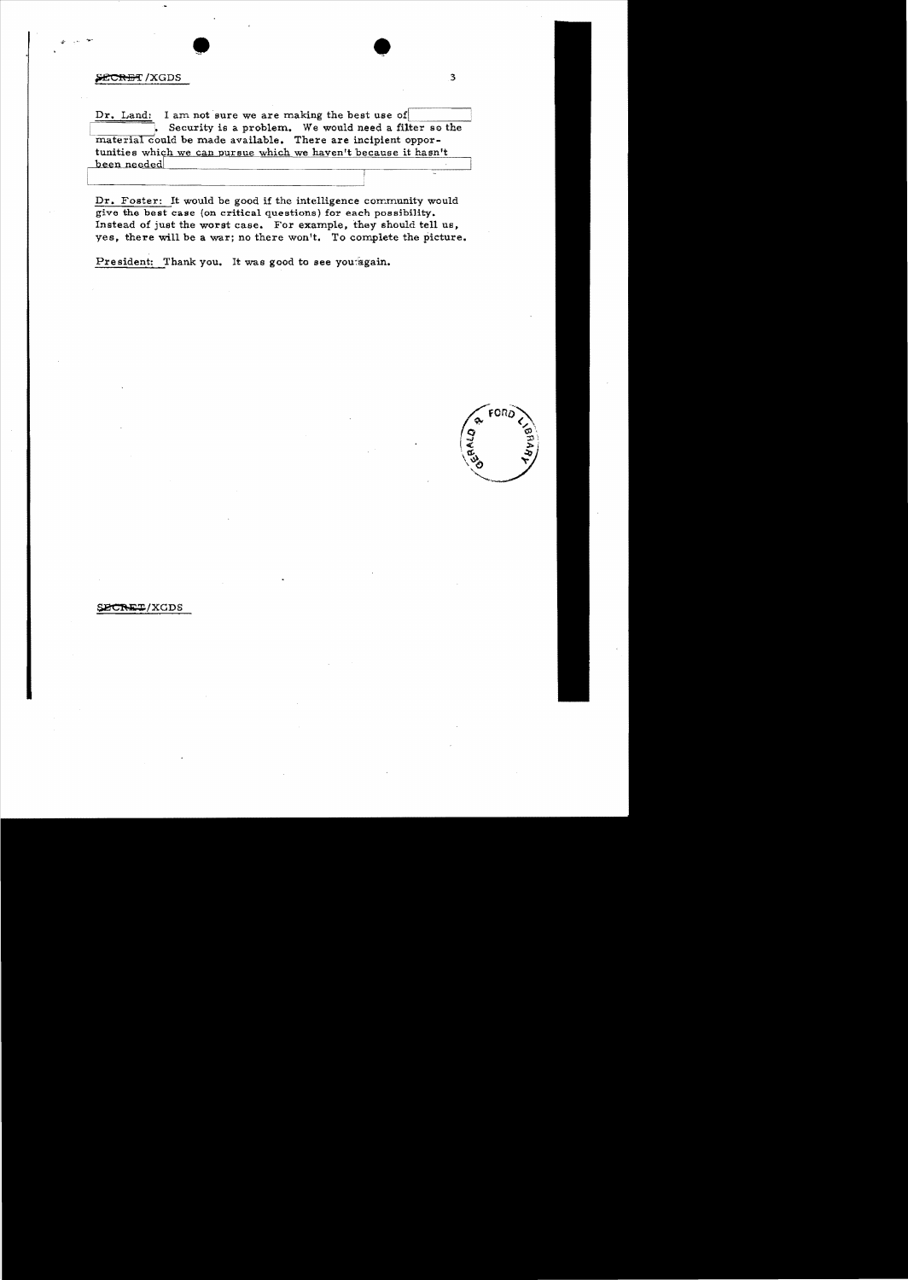#### SECRET/XGDS

Dr. Land: I am not sure we are making the best use of . Security is a problem. We would need a filter so the material could be made available. There are incipient opportunities which we can pursue which we haven't because it hasn't been needed

Dr. Foster: It would be good if the intelligence community would give the best case (on critical questions) for each possibility. Instead of just the worst case. For example, they should tell us, yes, there will be a war; no there won't. To complete the picture.

President: Thank you. It was good to see you again.



SECRET/XGDS